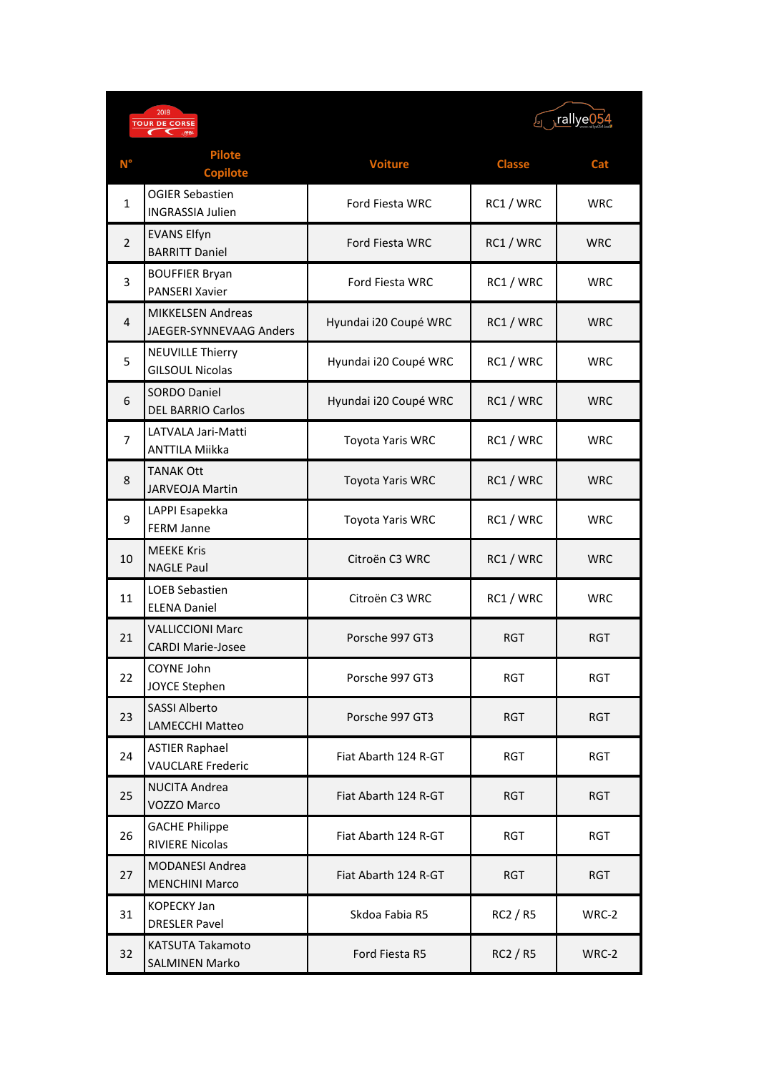| 2018<br><b>TOUR DE CORSE</b> |                                                            |                         | rallye05 <sub>ات</sub> |            |
|------------------------------|------------------------------------------------------------|-------------------------|------------------------|------------|
| $\mathsf{N}^\circ$           | <b>Pilote</b><br><b>Copilote</b>                           | <b>Voiture</b>          | <b>Classe</b>          | Cat        |
| 1                            | <b>OGIER Sebastien</b><br><b>INGRASSIA Julien</b>          | Ford Fiesta WRC         | RC1 / WRC              | <b>WRC</b> |
| $\overline{2}$               | <b>EVANS Elfyn</b><br><b>BARRITT Daniel</b>                | <b>Ford Fiesta WRC</b>  | RC1 / WRC              | <b>WRC</b> |
| 3                            | <b>BOUFFIER Bryan</b><br><b>PANSERI Xavier</b>             | Ford Fiesta WRC         | RC1 / WRC              | <b>WRC</b> |
| 4                            | <b>MIKKELSEN Andreas</b><br><b>JAEGER-SYNNEVAAG Anders</b> | Hyundai i20 Coupé WRC   | RC1 / WRC              | <b>WRC</b> |
| 5                            | <b>NEUVILLE Thierry</b><br><b>GILSOUL Nicolas</b>          | Hyundai i20 Coupé WRC   | RC1 / WRC              | <b>WRC</b> |
| 6                            | <b>SORDO Daniel</b><br><b>DEL BARRIO Carlos</b>            | Hyundai i20 Coupé WRC   | RC1 / WRC              | <b>WRC</b> |
| 7                            | LATVALA Jari-Matti<br><b>ANTTILA Miikka</b>                | Toyota Yaris WRC        | RC1 / WRC              | <b>WRC</b> |
| 8                            | <b>TANAK Ott</b><br><b>JARVEOJA Martin</b>                 | <b>Toyota Yaris WRC</b> | RC1 / WRC              | <b>WRC</b> |
| 9                            | LAPPI Esapekka<br><b>FERM Janne</b>                        | <b>Toyota Yaris WRC</b> | RC1 / WRC              | <b>WRC</b> |
| 10                           | <b>MEEKE Kris</b><br><b>NAGLE Paul</b>                     | Citroën C3 WRC          | RC1 / WRC              | <b>WRC</b> |
| 11                           | <b>LOEB Sebastien</b><br><b>ELENA Daniel</b>               | Citroën C3 WRC          | RC1 / WRC              | <b>WRC</b> |
| 21                           | <b>VALLICCIONI Marc</b><br><b>CARDI Marie-Josee</b>        | Porsche 997 GT3         | <b>RGT</b>             | RGT        |
| 22                           | COYNE John<br>JOYCE Stephen                                | Porsche 997 GT3         | <b>RGT</b>             | <b>RGT</b> |
| 23                           | <b>SASSI Alberto</b><br><b>LAMECCHI Matteo</b>             | Porsche 997 GT3         | <b>RGT</b>             | <b>RGT</b> |
| 24                           | <b>ASTIER Raphael</b><br><b>VAUCLARE Frederic</b>          | Fiat Abarth 124 R-GT    | <b>RGT</b>             | <b>RGT</b> |
| 25                           | <b>NUCITA Andrea</b><br>VOZZO Marco                        | Fiat Abarth 124 R-GT    | <b>RGT</b>             | <b>RGT</b> |
| 26                           | <b>GACHE Philippe</b><br><b>RIVIERE Nicolas</b>            | Fiat Abarth 124 R-GT    | <b>RGT</b>             | <b>RGT</b> |
| 27                           | <b>MODANESI Andrea</b><br><b>MENCHINI Marco</b>            | Fiat Abarth 124 R-GT    | <b>RGT</b>             | <b>RGT</b> |
| 31                           | <b>KOPECKY Jan</b><br><b>DRESLER Pavel</b>                 | Skdoa Fabia R5          | RC2 / R5               | WRC-2      |
| 32                           | <b>KATSUTA Takamoto</b><br><b>SALMINEN Marko</b>           | Ford Fiesta R5          | RC2 / R5               | WRC-2      |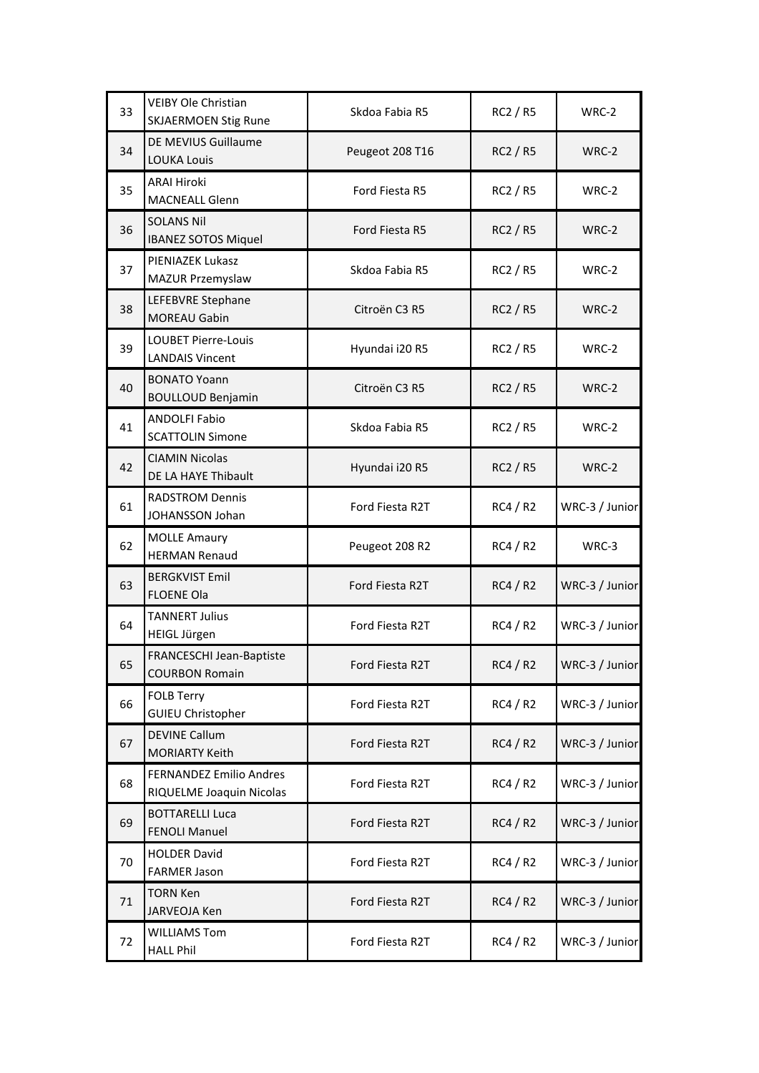| 33 | <b>VEIBY Ole Christian</b><br><b>SKJAERMOEN Stig Rune</b>  | Skdoa Fabia R5  | RC2 / R5        | WRC-2          |
|----|------------------------------------------------------------|-----------------|-----------------|----------------|
| 34 | DE MEVIUS Guillaume<br><b>LOUKA Louis</b>                  | Peugeot 208 T16 | <b>RC2 / R5</b> | WRC-2          |
| 35 | <b>ARAI Hiroki</b><br><b>MACNEALL Glenn</b>                | Ford Fiesta R5  | RC2 / R5        | WRC-2          |
| 36 | <b>SOLANS Nil</b><br><b>IBANEZ SOTOS Miquel</b>            | Ford Fiesta R5  | <b>RC2 / R5</b> | WRC-2          |
| 37 | PIENIAZEK Lukasz<br>MAZUR Przemyslaw                       | Skdoa Fabia R5  | RC2 / R5        | WRC-2          |
| 38 | LEFEBVRE Stephane<br><b>MOREAU Gabin</b>                   | Citroën C3 R5   | <b>RC2 / R5</b> | WRC-2          |
| 39 | <b>LOUBET Pierre-Louis</b><br><b>LANDAIS Vincent</b>       | Hyundai i20 R5  | RC2 / R5        | WRC-2          |
| 40 | <b>BONATO Yoann</b><br><b>BOULLOUD Benjamin</b>            | Citroën C3 R5   | <b>RC2 / R5</b> | WRC-2          |
| 41 | <b>ANDOLFI Fabio</b><br><b>SCATTOLIN Simone</b>            | Skdoa Fabia R5  | <b>RC2 / R5</b> | WRC-2          |
| 42 | <b>CIAMIN Nicolas</b><br>DE LA HAYE Thibault               | Hyundai i20 R5  | <b>RC2 / R5</b> | WRC-2          |
| 61 | <b>RADSTROM Dennis</b><br>JOHANSSON Johan                  | Ford Fiesta R2T | RC4/R2          | WRC-3 / Junior |
| 62 | <b>MOLLE Amaury</b><br><b>HERMAN Renaud</b>                | Peugeot 208 R2  | RC4 / R2        | WRC-3          |
| 63 | <b>BERGKVIST Emil</b><br><b>FLOENE Ola</b>                 | Ford Fiesta R2T | RC4/R2          | WRC-3 / Junior |
| 64 | <b>TANNERT Julius</b><br><b>HEIGL Jürgen</b>               | Ford Fiesta R2T | RC4/R2          | WRC-3 / Junior |
| 65 | FRANCESCHI Jean-Baptiste<br><b>COURBON Romain</b>          | Ford Fiesta R2T | RC4 / R2        | WRC-3 / Junior |
| 66 | <b>FOLB Terry</b><br><b>GUIEU Christopher</b>              | Ford Fiesta R2T | RC4/R2          | WRC-3 / Junior |
| 67 | <b>DEVINE Callum</b><br><b>MORIARTY Keith</b>              | Ford Fiesta R2T | RC4/R2          | WRC-3 / Junior |
| 68 | <b>FERNANDEZ Emilio Andres</b><br>RIQUELME Joaquin Nicolas | Ford Fiesta R2T | RC4/R2          | WRC-3 / Junior |
| 69 | <b>BOTTARELLI Luca</b><br><b>FENOLI Manuel</b>             | Ford Fiesta R2T | <b>RC4 / R2</b> | WRC-3 / Junior |
| 70 | <b>HOLDER David</b><br><b>FARMER Jason</b>                 | Ford Fiesta R2T | RC4/R2          | WRC-3 / Junior |
| 71 | <b>TORN Ken</b><br><b>JARVEOJA Ken</b>                     | Ford Fiesta R2T | RC4/R2          | WRC-3 / Junior |
| 72 | <b>WILLIAMS Tom</b><br><b>HALL Phil</b>                    | Ford Fiesta R2T | RC4 / R2        | WRC-3 / Junior |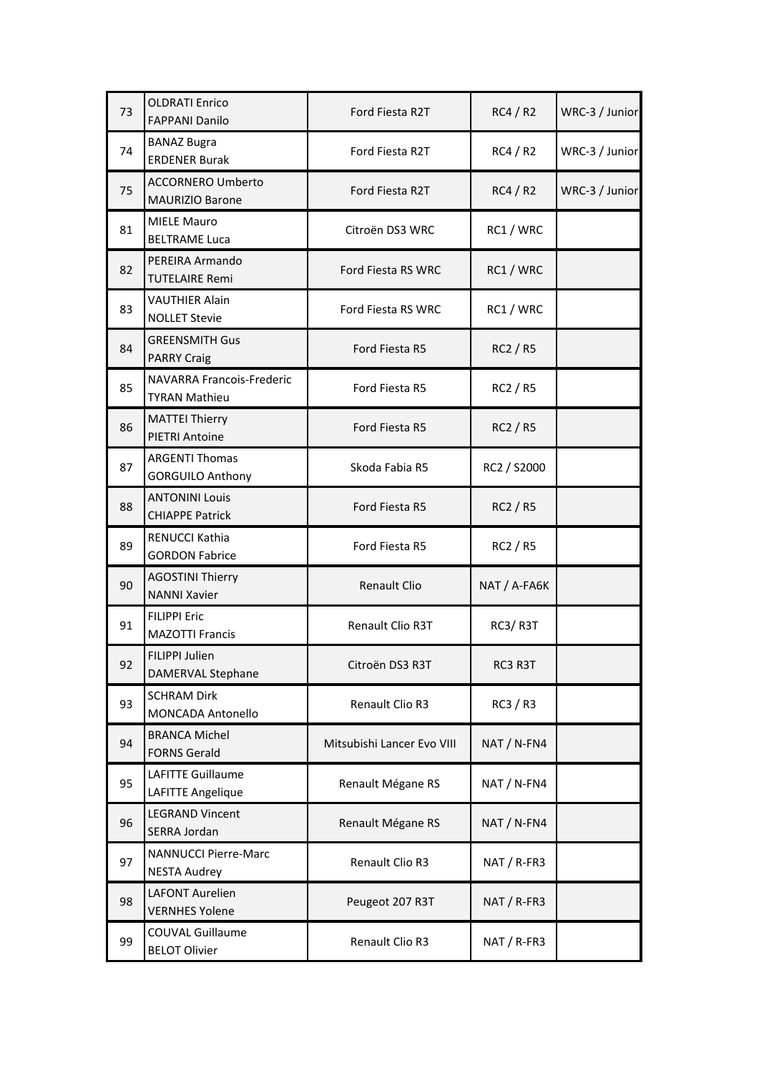| 73 | <b>OLDRATI Enrico</b><br><b>FAPPANI Danilo</b>           | Ford Fiesta R2T            | RC4/R2          | WRC-3 / Junior |
|----|----------------------------------------------------------|----------------------------|-----------------|----------------|
| 74 | <b>BANAZ Bugra</b><br><b>ERDENER Burak</b>               | Ford Fiesta R2T            | RC4/R2          | WRC-3 / Junior |
| 75 | <b>ACCORNERO Umberto</b><br><b>MAURIZIO Barone</b>       | Ford Fiesta R2T            | RC4/R2          | WRC-3 / Junior |
| 81 | <b>MIELE Mauro</b><br><b>BELTRAME Luca</b>               | Citroën DS3 WRC            | RC1 / WRC       |                |
| 82 | PEREIRA Armando<br><b>TUTELAIRE Remi</b>                 | Ford Fiesta RS WRC         | RC1 / WRC       |                |
| 83 | <b>VAUTHIER Alain</b><br><b>NOLLET Stevie</b>            | Ford Fiesta RS WRC         | RC1 / WRC       |                |
| 84 | <b>GREENSMITH Gus</b><br><b>PARRY Craig</b>              | Ford Fiesta R5             | <b>RC2 / R5</b> |                |
| 85 | <b>NAVARRA Francois-Frederic</b><br><b>TYRAN Mathieu</b> | Ford Fiesta R5             | RC2 / R5        |                |
| 86 | <b>MATTEI Thierry</b><br><b>PIETRI Antoine</b>           | Ford Fiesta R5             | <b>RC2 / R5</b> |                |
| 87 | <b>ARGENTI Thomas</b><br><b>GORGUILO Anthony</b>         | Skoda Fabia R5             | RC2 / S2000     |                |
| 88 | <b>ANTONINI Louis</b><br><b>CHIAPPE Patrick</b>          | Ford Fiesta R5             | RC2 / R5        |                |
| 89 | RENUCCI Kathia<br><b>GORDON Fabrice</b>                  | Ford Fiesta R5             | RC2 / R5        |                |
| 90 | <b>AGOSTINI Thierry</b><br><b>NANNI Xavier</b>           | <b>Renault Clio</b>        | NAT / A-FA6K    |                |
| 91 | <b>FILIPPI Eric</b><br><b>MAZOTTI Francis</b>            | Renault Clio R3T           | RC3/R3T         |                |
| 92 | FILIPPI Julien<br><b>DAMERVAL Stephane</b>               | Citroën DS3 R3T            | RC3 R3T         |                |
| 93 | <b>SCHRAM Dirk</b><br><b>MONCADA Antonello</b>           | Renault Clio R3            | RC3/R3          |                |
| 94 | <b>BRANCA Michel</b><br><b>FORNS Gerald</b>              | Mitsubishi Lancer Evo VIII | NAT / N-FN4     |                |
| 95 | <b>LAFITTE Guillaume</b><br><b>LAFITTE Angelique</b>     | Renault Mégane RS          | NAT / N-FN4     |                |
| 96 | <b>LEGRAND Vincent</b><br>SERRA Jordan                   | Renault Mégane RS          | NAT / N-FN4     |                |
| 97 | <b>NANNUCCI Pierre-Marc</b><br><b>NESTA Audrey</b>       | Renault Clio R3            | NAT / R-FR3     |                |
| 98 | <b>LAFONT Aurelien</b><br><b>VERNHES Yolene</b>          | Peugeot 207 R3T            | NAT / R-FR3     |                |
| 99 | <b>COUVAL Guillaume</b><br><b>BELOT Olivier</b>          | Renault Clio R3            | NAT / R-FR3     |                |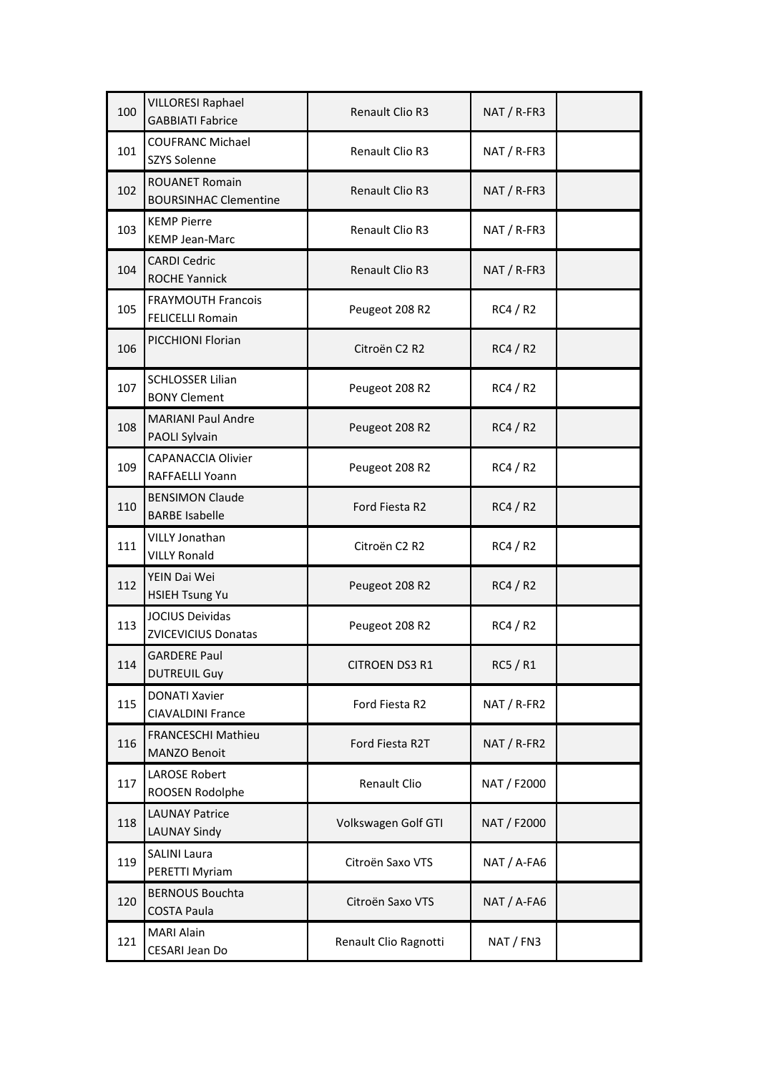| 100 | <b>VILLORESI Raphael</b><br><b>GABBIATI Fabrice</b>   | Renault Clio R3        | NAT / R-FR3 |
|-----|-------------------------------------------------------|------------------------|-------------|
| 101 | <b>COUFRANC Michael</b><br><b>SZYS Solenne</b>        | Renault Clio R3        | NAT / R-FR3 |
| 102 | <b>ROUANET Romain</b><br><b>BOURSINHAC Clementine</b> | <b>Renault Clio R3</b> | NAT / R-FR3 |
| 103 | <b>KEMP Pierre</b><br><b>KEMP Jean-Marc</b>           | <b>Renault Clio R3</b> | NAT / R-FR3 |
| 104 | <b>CARDI Cedric</b><br><b>ROCHE Yannick</b>           | Renault Clio R3        | NAT / R-FR3 |
| 105 | <b>FRAYMOUTH Francois</b><br><b>FELICELLI Romain</b>  | Peugeot 208 R2         | RC4 / R2    |
| 106 | PICCHIONI Florian                                     | Citroën C2 R2          | RC4/R2      |
| 107 | <b>SCHLOSSER Lilian</b><br><b>BONY Clement</b>        | Peugeot 208 R2         | RC4/R2      |
| 108 | <b>MARIANI Paul Andre</b><br>PAOLI Sylvain            | Peugeot 208 R2         | RC4/R2      |
| 109 | <b>CAPANACCIA Olivier</b><br>RAFFAELLI Yoann          | Peugeot 208 R2         | RC4/R2      |
| 110 | <b>BENSIMON Claude</b><br><b>BARBE Isabelle</b>       | Ford Fiesta R2         | RC4/R2      |
| 111 | <b>VILLY Jonathan</b><br><b>VILLY Ronald</b>          | Citroën C2 R2          | RC4/R2      |
| 112 | YEIN Dai Wei<br><b>HSIEH Tsung Yu</b>                 | Peugeot 208 R2         | RC4/R2      |
| 113 | <b>JOCIUS Deividas</b><br><b>ZVICEVICIUS Donatas</b>  | Peugeot 208 R2         | RC4/R2      |
| 114 | <b>GARDERE Paul</b><br><b>DUTREUIL Guy</b>            | CITROEN DS3 R1         | RC5 / R1    |
| 115 | <b>DONATI Xavier</b><br><b>CIAVALDINI France</b>      | Ford Fiesta R2         | NAT / R-FR2 |
| 116 | <b>FRANCESCHI Mathieu</b><br>MANZO Benoit             | Ford Fiesta R2T        | NAT / R-FR2 |
| 117 | <b>LAROSE Robert</b><br>ROOSEN Rodolphe               | Renault Clio           | NAT / F2000 |
| 118 | <b>LAUNAY Patrice</b><br><b>LAUNAY Sindy</b>          | Volkswagen Golf GTI    | NAT / F2000 |
| 119 | <b>SALINI Laura</b><br>PERETTI Myriam                 | Citroën Saxo VTS       | NAT / A-FA6 |
| 120 | <b>BERNOUS Bouchta</b><br><b>COSTA Paula</b>          | Citroën Saxo VTS       | NAT / A-FA6 |
| 121 | <b>MARI Alain</b><br>CESARI Jean Do                   | Renault Clio Ragnotti  | NAT / FN3   |